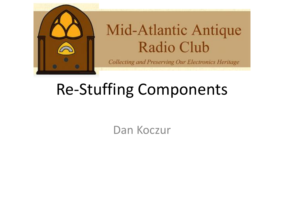

#### **Mid-Atlantic Antique** Radio Club

**Collecting and Preserving Our Electronics Heritage** 

## Re-Stuffing Components

Dan Koczur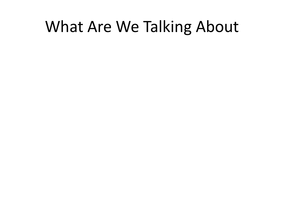#### What Are We Talking About

- 
- 
- 
- 
- - -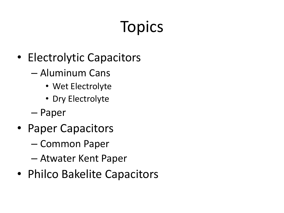# **Topics**

- Electrolytic Capacitors
	- Aluminum Cans
		- Wet Electrolyte
		- Dry Electrolyte
	- Paper
- Paper Capacitors
	- Common Paper
	- Atwater Kent Paper
- Philco Bakelite Capacitors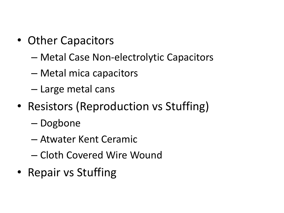- Other Capacitors
	- Metal Case Non-electrolytic Capacitors
	- Metal mica capacitors
	- Large metal cans
- Resistors (Reproduction vs Stuffing)
	- Dogbone
	- Atwater Kent Ceramic
	- Cloth Covered Wire Wound
- Repair vs Stuffing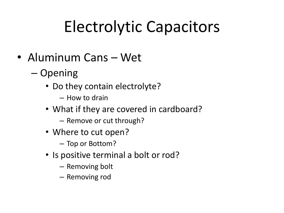# Electrolytic Capacitors

- Aluminum Cans Wet
	- Opening
		- Do they contain electrolyte?
			- How to drain
		- What if they are covered in cardboard?
			- Remove or cut through?
		- Where to cut open?
			- Top or Bottom?
		- Is positive terminal a bolt or rod?
			- Removing bolt
			- Removing rod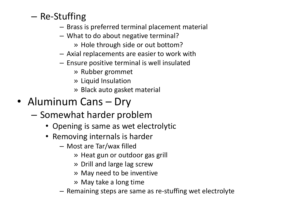- Re-Stuffing
	- Brass is preferred terminal placement material
	- What to do about negative terminal?
		- » Hole through side or out bottom?
	- Axial replacements are easier to work with
	- Ensure positive terminal is well insulated
		- » Rubber grommet
		- » Liquid Insulation
		- » Black auto gasket material
- Aluminum Cans Dry
	- Somewhat harder problem
		- Opening is same as wet electrolytic
		- Removing internals is harder
			- Most are Tar/wax filled
				- » Heat gun or outdoor gas grill
				- » Drill and large lag screw
				- » May need to be inventive
				- » May take a long time
			- Remaining steps are same as re-stuffing wet electrolyte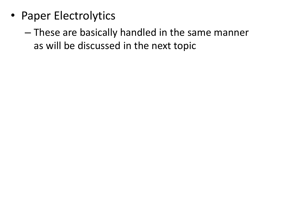- Paper Electrolytics
	- These are basically handled in the same manner as will be discussed in the next topic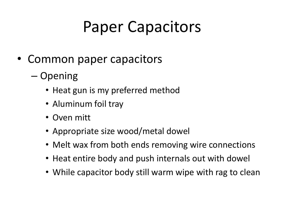## Paper Capacitors

- Common paper capacitors
	- Opening
		- Heat gun is my preferred method
		- Aluminum foil tray
		- Oven mitt
		- Appropriate size wood/metal dowel
		- Melt wax from both ends removing wire connections
		- Heat entire body and push internals out with dowel
		- While capacitor body still warm wipe with rag to clean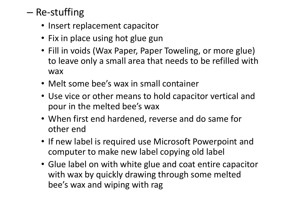- Re-stuffing
	- Insert replacement capacitor
	- Fix in place using hot glue gun
	- Fill in voids (Wax Paper, Paper Toweling, or more glue) to leave only a small area that needs to be refilled with wax
	- Melt some bee's wax in small container
	- Use vice or other means to hold capacitor vertical and pour in the melted bee's wax
	- When first end hardened, reverse and do same for other end
	- If new label is required use Microsoft Powerpoint and computer to make new label copying old label
	- Glue label on with white glue and coat entire capacitor with wax by quickly drawing through some melted bee's wax and wiping with rag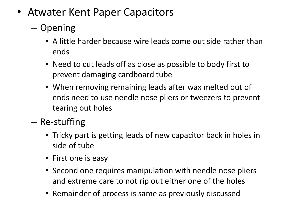- Atwater Kent Paper Capacitors
	- Opening
		- A little harder because wire leads come out side rather than ends
		- Need to cut leads off as close as possible to body first to prevent damaging cardboard tube
		- When removing remaining leads after wax melted out of ends need to use needle nose pliers or tweezers to prevent tearing out holes
	- Re-stuffing
		- Tricky part is getting leads of new capacitor back in holes in side of tube
		- First one is easy
		- Second one requires manipulation with needle nose pliers and extreme care to not rip out either one of the holes
		- Remainder of process is same as previously discussed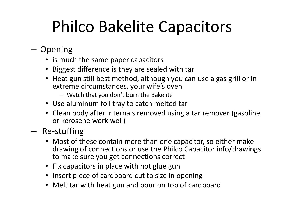## Philco Bakelite Capacitors

- Opening
	- is much the same paper capacitors
	- Biggest difference is they are sealed with tar
	- Heat gun still best method, although you can use a gas grill or in extreme circumstances, your wife's oven
		- Watch that you don't burn the Bakelite
	- Use aluminum foil tray to catch melted tar
	- Clean body after internals removed using a tar remover (gasoline or kerosene work well)
- Re-stuffing
	- Most of these contain more than one capacitor, so either make drawing of connections or use the Philco Capacitor info/drawings to make sure you get connections correct
	- Fix capacitors in place with hot glue gun
	- Insert piece of cardboard cut to size in opening
	- Melt tar with heat gun and pour on top of cardboard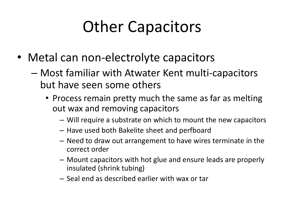## Other Capacitors

- Metal can non-electrolyte capacitors
	- Most familiar with Atwater Kent multi-capacitors but have seen some others
		- Process remain pretty much the same as far as melting out wax and removing capacitors
			- Will require a substrate on which to mount the new capacitors
			- Have used both Bakelite sheet and perfboard
			- Need to draw out arrangement to have wires terminate in the correct order
			- Mount capacitors with hot glue and ensure leads are properly insulated (shrink tubing)
			- Seal end as described earlier with wax or tar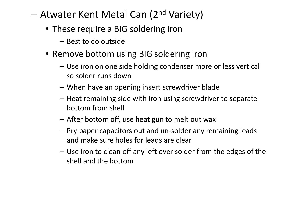#### – Atwater Kent Metal Can (2<sup>nd</sup> Variety)

- These require a BIG soldering iron
	- Best to do outside
- Remove bottom using BIG soldering iron
	- Use iron on one side holding condenser more or less vertical so solder runs down
	- When have an opening insert screwdriver blade
	- Heat remaining side with iron using screwdriver to separate bottom from shell
	- After bottom off, use heat gun to melt out wax
	- Pry paper capacitors out and un-solder any remaining leads and make sure holes for leads are clear
	- Use iron to clean off any left over solder from the edges of the shell and the bottom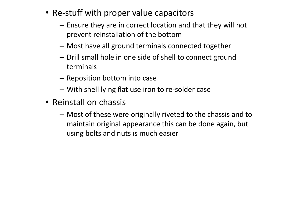- Re-stuff with proper value capacitors
	- Ensure they are in correct location and that they will not prevent reinstallation of the bottom
	- Most have all ground terminals connected together
	- Drill small hole in one side of shell to connect ground terminals
	- Reposition bottom into case
	- With shell lying flat use iron to re-solder case
- Reinstall on chassis
	- Most of these were originally riveted to the chassis and to maintain original appearance this can be done again, but using bolts and nuts is much easier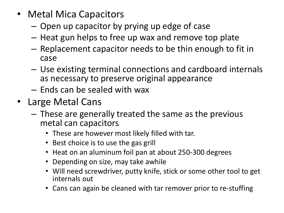- Metal Mica Capacitors
	- Open up capacitor by prying up edge of case
	- Heat gun helps to free up wax and remove top plate
	- Replacement capacitor needs to be thin enough to fit in case
	- Use existing terminal connections and cardboard internals as necessary to preserve original appearance
	- Ends can be sealed with wax
- Large Metal Cans
	- These are generally treated the same as the previous metal can capacitors
		- These are however most likely filled with tar.
		- Best choice is to use the gas grill
		- Heat on an aluminum foil pan at about 250-300 degrees
		- Depending on size, may take awhile
		- Will need screwdriver, putty knife, stick or some other tool to get internals out
		- Cans can again be cleaned with tar remover prior to re-stuffing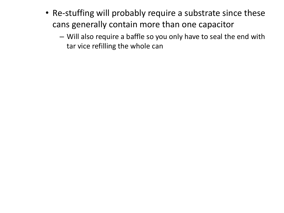- Re-stuffing will probably require a substrate since these cans generally contain more than one capacitor
	- Will also require a baffle so you only have to seal the end with tar vice refilling the whole can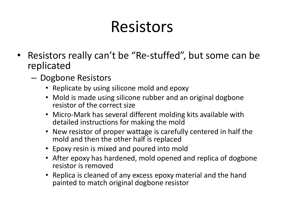#### Resistors

- Resistors really can't be "Re-stuffed", but some can be replicated
	- Dogbone Resistors
		- Replicate by using silicone mold and epoxy
		- Mold is made using silicone rubber and an original dogbone resistor of the correct size
		- Micro-Mark has several different molding kits available with detailed instructions for making the mold
		- New resistor of proper wattage is carefully centered in half the mold and then the other half is replaced
		- Epoxy resin is mixed and poured into mold
		- After epoxy has hardened, mold opened and replica of dogbone resistor is removed
		- Replica is cleaned of any excess epoxy material and the hand painted to match original dogbone resistor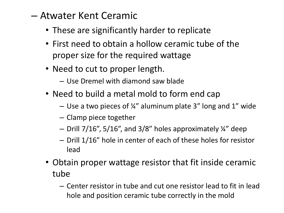#### – Atwater Kent Ceramic

- These are significantly harder to replicate
- First need to obtain a hollow ceramic tube of the proper size for the required wattage
- Need to cut to proper length.
	- Use Dremel with diamond saw blade
- Need to build a metal mold to form end cap
	- Use a two pieces of  $\frac{1}{4}$ " aluminum plate 3" long and 1" wide
	- Clamp piece together
	- Drill 7/16", 5/16", and 3/8" holes approximately ¼" deep
	- Drill 1/16" hole in center of each of these holes for resistor lead
- Obtain proper wattage resistor that fit inside ceramic tube
	- Center resistor in tube and cut one resistor lead to fit in lead hole and position ceramic tube correctly in the mold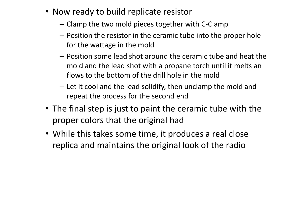- Now ready to build replicate resistor
	- Clamp the two mold pieces together with C-Clamp
	- Position the resistor in the ceramic tube into the proper hole for the wattage in the mold
	- Position some lead shot around the ceramic tube and heat the mold and the lead shot with a propane torch until it melts an flows to the bottom of the drill hole in the mold
	- Let it cool and the lead solidify, then unclamp the mold and repeat the process for the second end
- The final step is just to paint the ceramic tube with the proper colors that the original had
- While this takes some time, it produces a real close replica and maintains the original look of the radio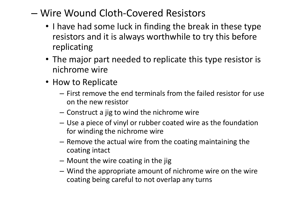- Wire Wound Cloth-Covered Resistors
	- I have had some luck in finding the break in these type resistors and it is always worthwhile to try this before replicating
	- The major part needed to replicate this type resistor is nichrome wire
	- How to Replicate
		- First remove the end terminals from the failed resistor for use on the new resistor
		- Construct a jig to wind the nichrome wire
		- Use a piece of vinyl or rubber coated wire as the foundation for winding the nichrome wire
		- Remove the actual wire from the coating maintaining the coating intact
		- Mount the wire coating in the jig
		- Wind the appropriate amount of nichrome wire on the wire coating being careful to not overlap any turns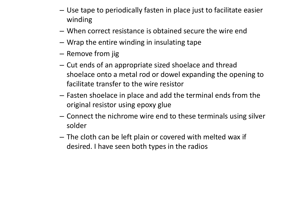- Use tape to periodically fasten in place just to facilitate easier winding
- When correct resistance is obtained secure the wire end
- Wrap the entire winding in insulating tape
- Remove from jig
- Cut ends of an appropriate sized shoelace and thread shoelace onto a metal rod or dowel expanding the opening to facilitate transfer to the wire resistor
- Fasten shoelace in place and add the terminal ends from the original resistor using epoxy glue
- Connect the nichrome wire end to these terminals using silver solder
- The cloth can be left plain or covered with melted wax if desired. I have seen both types in the radios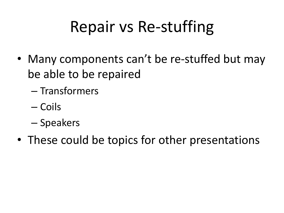#### Repair vs Re-stuffing

- Many components can't be re-stuffed but may be able to be repaired
	- Transformers
	- Coils
	- Speakers
- These could be topics for other presentations